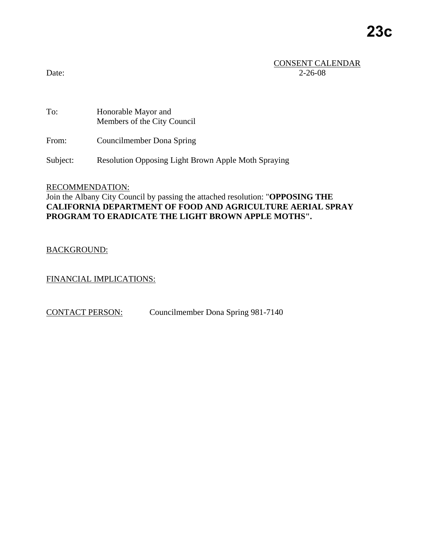CONSENT CALENDAR Date: 2-26-08

| To: | Honorable Mayor and         |
|-----|-----------------------------|
|     | Members of the City Council |

From: Councilmember Dona Spring

Subject: Resolution Opposing Light Brown Apple Moth Spraying

# RECOMMENDATION:

Join the Albany City Council by passing the attached resolution: "**OPPOSING THE CALIFORNIA DEPARTMENT OF FOOD AND AGRICULTURE AERIAL SPRAY PROGRAM TO ERADICATE THE LIGHT BROWN APPLE MOTHS".** 

BACKGROUND:

FINANCIAL IMPLICATIONS:

CONTACT PERSON: Councilmember Dona Spring 981-7140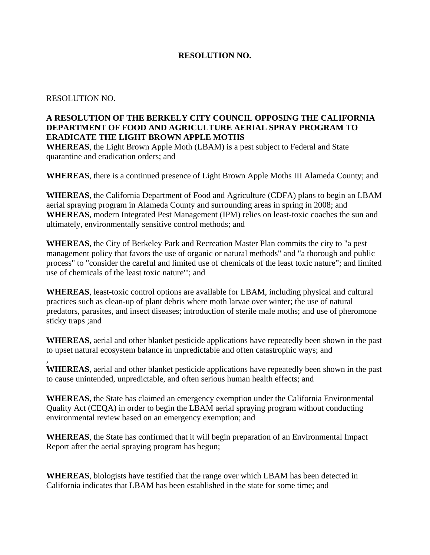### **RESOLUTION NO.**

#### RESOLUTION NO.

### **A RESOLUTION OF THE BERKELY CITY COUNCIL OPPOSING THE CALIFORNIA DEPARTMENT OF FOOD AND AGRICULTURE AERIAL SPRAY PROGRAM TO ERADICATE THE LIGHT BROWN APPLE MOTHS**

**WHEREAS**, the Light Brown Apple Moth (LBAM) is a pest subject to Federal and State quarantine and eradication orders; and

**WHEREAS**, there is a continued presence of Light Brown Apple Moths III Alameda County; and

**WHEREAS**, the California Department of Food and Agriculture (CDFA) plans to begin an LBAM aerial spraying program in Alameda County and surrounding areas in spring in 2008; and **WHEREAS**, modern Integrated Pest Management (IPM) relies on least-toxic coaches the sun and ultimately, environmentally sensitive control methods; and

**WHEREAS**, the City of Berkeley Park and Recreation Master Plan commits the city to "a pest management policy that favors the use of organic or natural methods" and "a thorough and public process" to "consider the careful and limited use of chemicals of the least toxic nature"; and limited use of chemicals of the least toxic nature"'; and

**WHEREAS**, least-toxic control options are available for LBAM, including physical and cultural practices such as clean-up of plant debris where moth larvae over winter; the use of natural predators, parasites, and insect diseases; introduction of sterile male moths; and use of pheromone sticky traps ;and

**WHEREAS**, aerial and other blanket pesticide applications have repeatedly been shown in the past to upset natural ecosystem balance in unpredictable and often catastrophic ways; and

, **WHEREAS**, aerial and other blanket pesticide applications have repeatedly been shown in the past to cause unintended, unpredictable, and often serious human health effects; and

**WHEREAS**, the State has claimed an emergency exemption under the California Environmental Quality Act (CEQA) in order to begin the LBAM aerial spraying program without conducting environmental review based on an emergency exemption; and

**WHEREAS**, the State has confirmed that it will begin preparation of an Environmental Impact Report after the aerial spraying program has begun;

**WHEREAS**, biologists have testified that the range over which LBAM has been detected in California indicates that LBAM has been established in the state for some time; and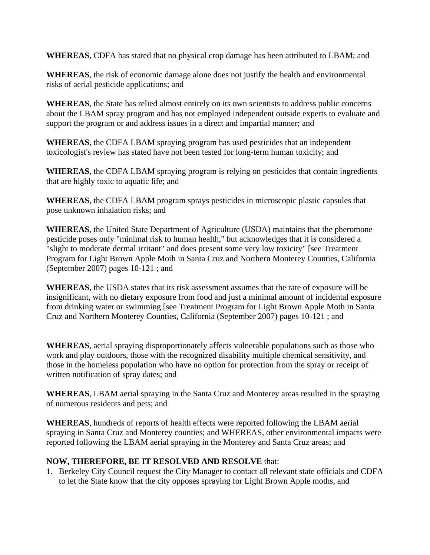**WHEREAS**, CDFA has stated that no physical crop damage has been attributed to LBAM; and

**WHEREAS**, the risk of economic damage alone does not justify the health and environmental risks of aerial pesticide applications; and

**WHEREAS**, the State has relied almost entirely on its own scientists to address public concerns about the LBAM spray program and has not employed independent outside experts to evaluate and support the program or and address issues in a direct and impartial manner; and

**WHEREAS**, the CDFA LBAM spraying program has used pesticides that an independent toxicologist's review has stated have not been tested for long-term human toxicity; and

**WHEREAS**, the CDFA LBAM spraying program is relying on pesticides that contain ingredients that are highly toxic to aquatic life; and

**WHEREAS**, the CDFA LBAM program sprays pesticides in microscopic plastic capsules that pose unknown inhalation risks; and

**WHEREAS**, the United State Department of Agriculture (USDA) maintains that the pheromone pesticide poses only "minimal risk to human health," but acknowledges that it is considered a "slight to moderate dermal irritant" and does present some very low toxicity" [see Treatment Program for Light Brown Apple Moth in Santa Cruz and Northern Monterey Counties, California (September 2007) pages 10-121 ; and

**WHEREAS**, the USDA states that its risk assessment assumes that the rate of exposure will be insignificant, with no dietary exposure from food and just a minimal amount of incidental exposure from drinking water or swimming [see Treatment Program for Light Brown Apple Moth in Santa Cruz and Northern Monterey Counties, California (September 2007) pages 10-121 ; and

**WHEREAS**, aerial spraying disproportionately affects vulnerable populations such as those who work and play outdoors, those with the recognized disability multiple chemical sensitivity, and those in the homeless population who have no option for protection from the spray or receipt of written notification of spray dates; and

**WHEREAS**, LBAM aerial spraying in the Santa Cruz and Monterey areas resulted in the spraying of numerous residents and pets; and

**WHEREAS**, hundreds of reports of health effects were reported following the LBAM aerial spraying in Santa Cruz and Monterey counties; and WHEREAS, other environmental impacts were reported following the LBAM aerial spraying in the Monterey and Santa Cruz areas; and

## **NOW, THEREFORE, BE IT RESOLVED AND RESOLVE** that:

1. Berkeley City Council request the City Manager to contact all relevant state officials and CDFA to let the State know that the city opposes spraying for Light Brown Apple moths, and